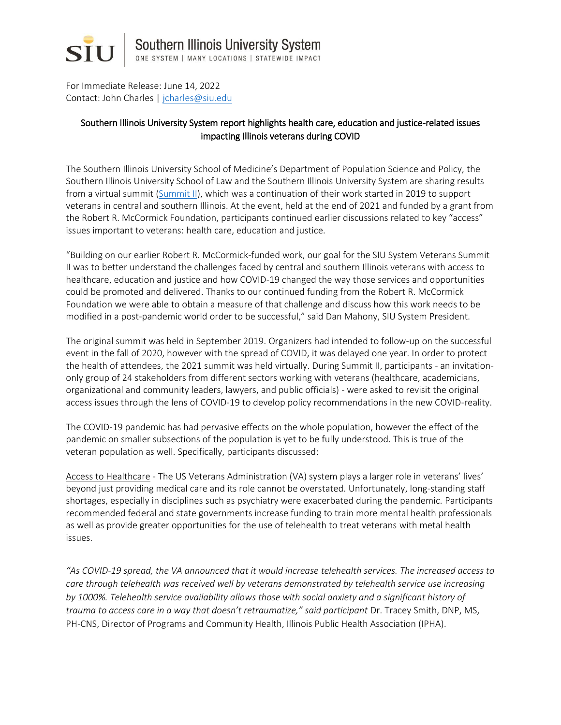

For Immediate Release: June 14, 2022 Contact: John Charles [| jcharles@siu.edu](mailto:jcharles@siu.edu)

## Southern Illinois University System report highlights health care, education and justice-related issues impacting Illinois veterans during COVID

The Southern Illinois University School of Medicine's Department of Population Science and Policy, the Southern Illinois University School of Law and the Southern Illinois University System are sharing results from a virtual summit [\(Summit II\)](https://siusystem.edu/components/VeteransSummit2BriefFINAL6.1.2022.pdf), which was a continuation of their work started in 2019 to support veterans in central and southern Illinois. At the event, held at the end of 2021 and funded by a grant from the Robert R. McCormick Foundation, participants continued earlier discussions related to key "access" issues important to veterans: health care, education and justice.

"Building on our earlier Robert R. McCormick-funded work, our goal for the SIU System Veterans Summit II was to better understand the challenges faced by central and southern Illinois veterans with access to healthcare, education and justice and how COVID-19 changed the way those services and opportunities could be promoted and delivered. Thanks to our continued funding from the Robert R. McCormick Foundation we were able to obtain a measure of that challenge and discuss how this work needs to be modified in a post-pandemic world order to be successful," said Dan Mahony, SIU System President.

The original summit was held in September 2019. Organizers had intended to follow-up on the successful event in the fall of 2020, however with the spread of COVID, it was delayed one year. In order to protect the health of attendees, the 2021 summit was held virtually. During Summit II, participants - an invitationonly group of 24 stakeholders from different sectors working with veterans (healthcare, academicians, organizational and community leaders, lawyers, and public officials) - were asked to revisit the original access issues through the lens of COVID-19 to develop policy recommendations in the new COVID-reality.

The COVID-19 pandemic has had pervasive effects on the whole population, however the effect of the pandemic on smaller subsections of the population is yet to be fully understood. This is true of the veteran population as well. Specifically, participants discussed:

Access to Healthcare - The US Veterans Administration (VA) system plays a larger role in veterans' lives' beyond just providing medical care and its role cannot be overstated. Unfortunately, long-standing staff shortages, especially in disciplines such as psychiatry were exacerbated during the pandemic. Participants recommended federal and state governments increase funding to train more mental health professionals as well as provide greater opportunities for the use of telehealth to treat veterans with metal health issues.

*"As COVID-19 spread, the VA announced that it would increase telehealth services. The increased access to care through telehealth was received well by veterans demonstrated by telehealth service use increasing by 1000%. Telehealth service availability allows those with social anxiety and a significant history of trauma to access care in a way that doesn't retraumatize," said participant Dr. Tracey Smith, DNP, MS,* PH-CNS, Director of Programs and Community Health, Illinois Public Health Association (IPHA).